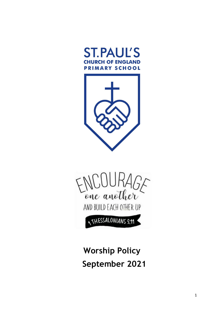





# **Worship Policy September 2021**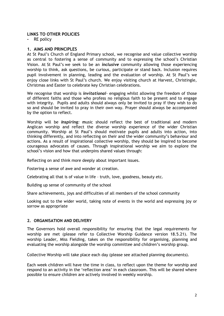## **LINKS TO OTHER POLICIES**

**-** RE policy

## **1. AIMS AND PRINCIPLES**

At St Paul's Church of England Primary school, we recognise and value collective worship as central to fostering a sense of community and to expressing the school's Christian Vision. At St Paul's we seek to be an *inclusive* community allowing those experiencing worship to think, ask questions, be curious, participate or stand back. Inclusion requires pupil involvement in planning, leading and the evaluation of worship. At St Paul's we enjoy close links with St Paul's church. We enjoy visiting church at Harvest, Christingle, Christmas and Easter to celebrate key Christian celebrations.

We recognise that worship is *invitational-* engaging whilst allowing the freedom of those of different faiths and those who profess no religious faith to be present and to engage with integrity. Pupils and adults should always only be invited to pray if they wish to do so and should be invited to pray in their own way. Prayer should always be accompanied by the option to reflect.

Worship will be *Inspiring:* **m**usic should reflect the best of traditional and modern Anglican worship and reflect the diverse worship experience of the wider Christian community. Worship at St Paul's should motivate pupils and adults into action, into thinking differently, and into reflecting on their and the wider community's behaviour and actions. As a result of inspirational collective worship, they should be inspired to become courageous advocates of causes. Through inspirational worship we aim to explore the school's vision and how that underpins shared values through:

Reflecting on and think more deeply about important issues.

Fostering a sense of awe and wonder at creation.

Celebrating all that is of value in life – truth, love, goodness, beauty etc.

Building up sense of community of the school

Share achievements, joys and difficulties of all members of the school community

Looking out to the wider world, taking note of events in the world and expressing joy or sorrow as appropriate

## **2. ORGANISATION AND DELIVERY**

The Governors hold overall responsibility for ensuring that the legal requirements for worship are met (please refer to Collective Worship Guidance version 18.5.21). The worship Leader, Miss Fielding, takes on the responsibility for organising, planning and evaluating the worship alongside the worship committee and children's worship group.

Collective Worship will take place each day (please see attached planning documents).

Each week children will have the time in class, to reflect upon the theme for worship and respond to an activity in the 'reflection area' in each classroom. This will be shared where possible to ensure children are actively involved in weekly worship.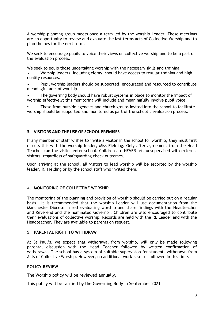A worship-planning group meets once a term led by the worship Leader. These meetings are an opportunity to review and evaluate the last terms acts of Collective Worship and to plan themes for the next term.

We seek to encourage pupils to voice their views on collective worship and to be a part of the evaluation process.

We seek to equip those undertaking worship with the necessary skills and training:

- Worship leaders, including clergy, should have access to regular training and high quality resources.
- Pupil worship leaders should be supported, encouraged and resourced to contribute meaningful acts of worship.
- The governing body should have robust systems in place to monitor the impact of worship effectively; this monitoring will include and meaningfully involve pupil voice.

Those from outside agencies and church groups invited into the school to facilitate worship should be supported and monitored as part of the school's evaluation process.

## **3. VISITORS AND THE USE OF SCHOOL PREMISES**

If any member of staff wishes to invite a visitor in the school for worship, they must first discuss this with the worship leader, Miss Fielding. Only after agreement from the Head Teacher can the visitor enter school. Children are NEVER left unsupervised with external visitors, regardless of safeguarding check outcomes.

Upon arriving at the school, all visitors to lead worship will be escorted by the worship leader, R. Fielding or by the school staff who invited them.

## **4. MONITORING OF COLLECTIVE WORSHIP**

The monitoring of the planning and provision of worship should be carried out on a regular basis. It is recommended that the worship Leader will use documentation from the Manchester Diocese in self evaluating worship and share findings with the Headteacher and Reverend and the nominated Governor. Children are also encouraged to contribute their evaluations of collective worship. Records are held with the RE Leader and with the Headteacher. They are available to parents on request.

## 5. **PARENTAL RIGHT TO WITHDRAW**

At St Paul's, we expect that withdrawal from worship, will only be made following parental discussion with the Head Teacher followed by written confirmation of withdrawal. The school has a system of suitable supervision for students withdrawn from Acts of Collective Worship. However, no additional work is set or followed in this time.

## **POLICY REVIEW**

The Worship policy will be reviewed annually.

This policy will be ratified by the Governing Body in September 2021